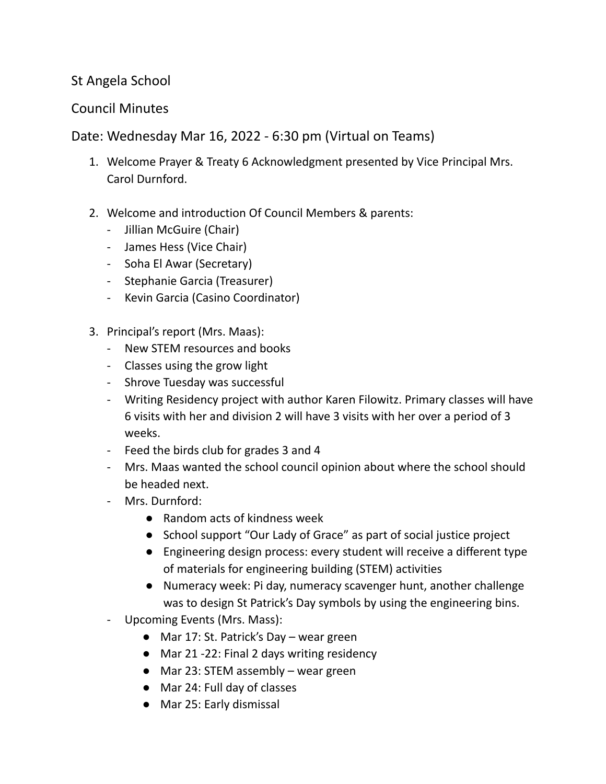## St Angela School

## Council Minutes

Date: Wednesday Mar 16, 2022 - 6:30 pm (Virtual on Teams)

- 1. Welcome Prayer & Treaty 6 Acknowledgment presented by Vice Principal Mrs. Carol Durnford.
- 2. Welcome and introduction Of Council Members & parents:
	- Jillian McGuire (Chair)
	- James Hess (Vice Chair)
	- Soha El Awar (Secretary)
	- Stephanie Garcia (Treasurer)
	- Kevin Garcia (Casino Coordinator)
- 3. Principal's report (Mrs. Maas):
	- New STEM resources and books
	- Classes using the grow light
	- Shrove Tuesday was successful
	- Writing Residency project with author Karen Filowitz. Primary classes will have 6 visits with her and division 2 will have 3 visits with her over a period of 3 weeks.
	- Feed the birds club for grades 3 and 4
	- Mrs. Maas wanted the school council opinion about where the school should be headed next.
	- Mrs. Durnford:
		- Random acts of kindness week
		- School support "Our Lady of Grace" as part of social justice project
		- Engineering design process: every student will receive a different type of materials for engineering building (STEM) activities
		- Numeracy week: Pi day, numeracy scavenger hunt, another challenge was to design St Patrick's Day symbols by using the engineering bins.
	- Upcoming Events (Mrs. Mass):
		- Mar 17: St. Patrick's Day wear green
		- Mar 21 -22: Final 2 days writing residency
		- Mar 23: STEM assembly wear green
		- Mar 24: Full day of classes
		- Mar 25: Early dismissal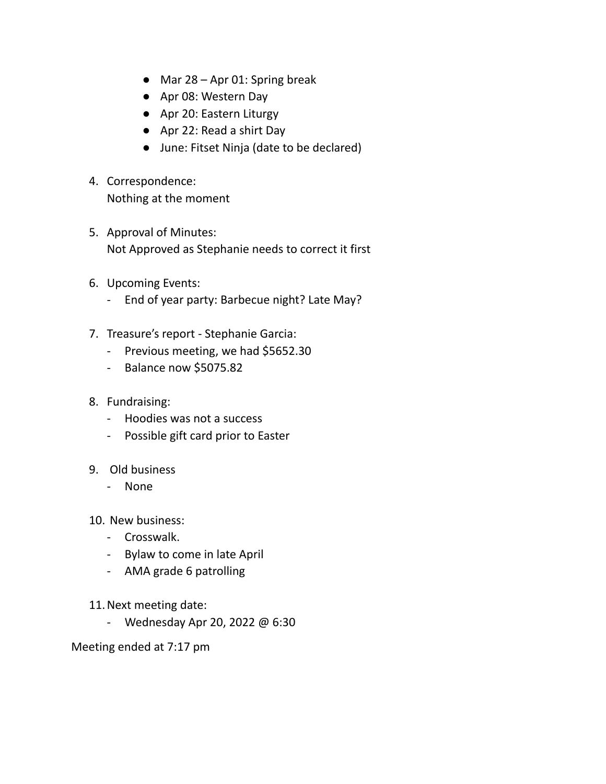- $\bullet$  Mar 28 Apr 01: Spring break
- Apr 08: Western Day
- Apr 20: Eastern Liturgy
- Apr 22: Read a shirt Day
- June: Fitset Ninja (date to be declared)
- 4. Correspondence: Nothing at the moment
- 5. Approval of Minutes: Not Approved as Stephanie needs to correct it first
- 6. Upcoming Events:
	- End of year party: Barbecue night? Late May?
- 7. Treasure's report Stephanie Garcia:
	- Previous meeting, we had \$5652.30
	- Balance now \$5075.82
- 8. Fundraising:
	- Hoodies was not a success
	- Possible gift card prior to Easter
- 9. Old business
	- None
- 10. New business:
	- Crosswalk.
	- Bylaw to come in late April
	- AMA grade 6 patrolling
- 11.Next meeting date:
	- Wednesday Apr 20, 2022 @ 6:30

Meeting ended at 7:17 pm